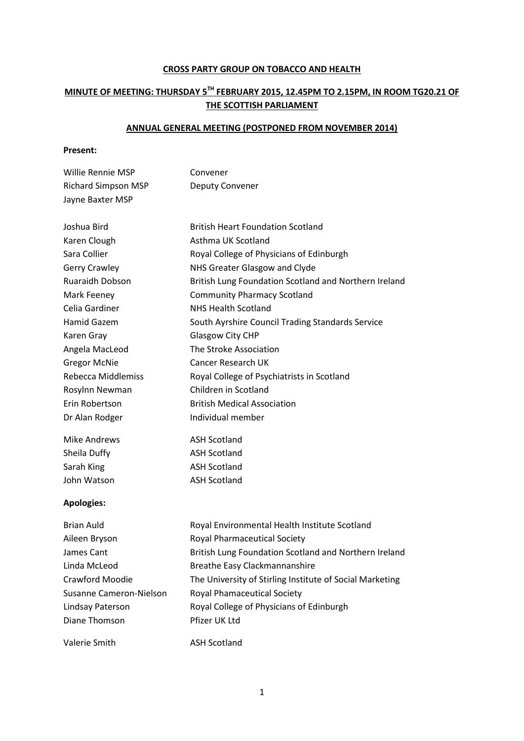## **CROSS PARTY GROUP ON TOBACCO AND HEALTH**

## **MINUTE OF MEETING: THURSDAY 5TH FEBRUARY 2015, 12.45PM TO 2.15PM, IN ROOM TG20.21 OF THE SCOTTISH PARLIAMENT**

## **ANNUAL GENERAL MEETING (POSTPONED FROM NOVEMBER 2014)**

## **Present:**

| Willie Rennie MSP          | Convener                                                                                |
|----------------------------|-----------------------------------------------------------------------------------------|
| <b>Richard Simpson MSP</b> | Deputy Convener                                                                         |
| Jayne Baxter MSP           |                                                                                         |
|                            |                                                                                         |
| Joshua Bird                | <b>British Heart Foundation Scotland</b>                                                |
| Karen Clough               | Asthma UK Scotland                                                                      |
| Sara Collier               | Royal College of Physicians of Edinburgh                                                |
| <b>Gerry Crawley</b>       | NHS Greater Glasgow and Clyde                                                           |
| Ruaraidh Dobson            | British Lung Foundation Scotland and Northern Ireland                                   |
| Mark Feeney                | <b>Community Pharmacy Scotland</b>                                                      |
| Celia Gardiner             | <b>NHS Health Scotland</b>                                                              |
| Hamid Gazem                | South Ayrshire Council Trading Standards Service                                        |
| Karen Gray                 | Glasgow City CHP                                                                        |
| Angela MacLeod             | The Stroke Association                                                                  |
| <b>Gregor McNie</b>        | <b>Cancer Research UK</b>                                                               |
| <b>Rebecca Middlemiss</b>  | Royal College of Psychiatrists in Scotland                                              |
| Rosylnn Newman             | Children in Scotland                                                                    |
| Erin Robertson             | <b>British Medical Association</b>                                                      |
| Dr Alan Rodger             | Individual member                                                                       |
| <b>Mike Andrews</b>        | <b>ASH Scotland</b>                                                                     |
| Sheila Duffy               | <b>ASH Scotland</b>                                                                     |
| Sarah King                 | <b>ASH Scotland</b>                                                                     |
| John Watson                | <b>ASH Scotland</b>                                                                     |
| <b>Apologies:</b>          |                                                                                         |
| <b>Brian Auld</b>          | Royal Environmental Health Institute Scotland                                           |
| Aileen Bryson              | <b>Royal Pharmaceutical Society</b>                                                     |
|                            | المستواليون المستوح والشريع الماليونية والمستوار والمستقط والمستقات والمستور والملاطئين |

| Aileen Bryson           | Royal Pharmaceutical Society                             |
|-------------------------|----------------------------------------------------------|
| James Cant              | British Lung Foundation Scotland and Northern Ireland    |
| Linda McLeod            | Breathe Easy Clackmannanshire                            |
| Crawford Moodie         | The University of Stirling Institute of Social Marketing |
| Susanne Cameron-Nielson | <b>Royal Phamaceutical Society</b>                       |
| Lindsay Paterson        | Royal College of Physicians of Edinburgh                 |
| Diane Thomson           | Pfizer UK Ltd                                            |
|                         |                                                          |
| Valerie Smith           | <b>ASH Scotland</b>                                      |

1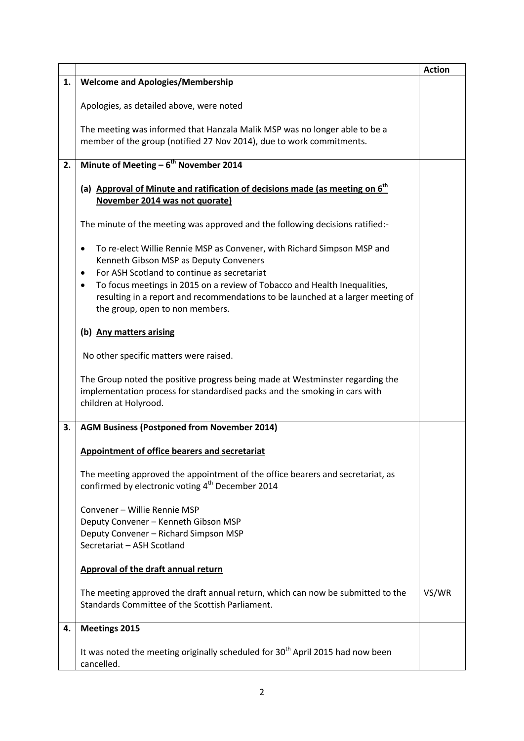|    |                                                                                                                                                                                                                                                                                                                                                                                            | <b>Action</b> |
|----|--------------------------------------------------------------------------------------------------------------------------------------------------------------------------------------------------------------------------------------------------------------------------------------------------------------------------------------------------------------------------------------------|---------------|
| 1. | <b>Welcome and Apologies/Membership</b>                                                                                                                                                                                                                                                                                                                                                    |               |
|    | Apologies, as detailed above, were noted                                                                                                                                                                                                                                                                                                                                                   |               |
|    | The meeting was informed that Hanzala Malik MSP was no longer able to be a<br>member of the group (notified 27 Nov 2014), due to work commitments.                                                                                                                                                                                                                                         |               |
| 2. | Minute of Meeting - 6 <sup>th</sup> November 2014                                                                                                                                                                                                                                                                                                                                          |               |
|    | (a) Approval of Minute and ratification of decisions made (as meeting on 6 <sup>th</sup><br>November 2014 was not quorate)                                                                                                                                                                                                                                                                 |               |
|    | The minute of the meeting was approved and the following decisions ratified:-                                                                                                                                                                                                                                                                                                              |               |
|    | To re-elect Willie Rennie MSP as Convener, with Richard Simpson MSP and<br>٠<br>Kenneth Gibson MSP as Deputy Conveners<br>For ASH Scotland to continue as secretariat<br>$\bullet$<br>To focus meetings in 2015 on a review of Tobacco and Health Inequalities,<br>٠<br>resulting in a report and recommendations to be launched at a larger meeting of<br>the group, open to non members. |               |
|    | (b) Any matters arising                                                                                                                                                                                                                                                                                                                                                                    |               |
|    | No other specific matters were raised.                                                                                                                                                                                                                                                                                                                                                     |               |
|    | The Group noted the positive progress being made at Westminster regarding the<br>implementation process for standardised packs and the smoking in cars with<br>children at Holyrood.                                                                                                                                                                                                       |               |
| 3. | <b>AGM Business (Postponed from November 2014)</b>                                                                                                                                                                                                                                                                                                                                         |               |
|    | Appointment of office bearers and secretariat                                                                                                                                                                                                                                                                                                                                              |               |
|    | The meeting approved the appointment of the office bearers and secretariat, as<br>confirmed by electronic voting 4 <sup>th</sup> December 2014                                                                                                                                                                                                                                             |               |
|    | Convener - Willie Rennie MSP<br>Deputy Convener - Kenneth Gibson MSP<br>Deputy Convener - Richard Simpson MSP<br>Secretariat - ASH Scotland                                                                                                                                                                                                                                                |               |
|    | Approval of the draft annual return                                                                                                                                                                                                                                                                                                                                                        |               |
|    | The meeting approved the draft annual return, which can now be submitted to the<br>Standards Committee of the Scottish Parliament.                                                                                                                                                                                                                                                         | VS/WR         |
| 4. | <b>Meetings 2015</b>                                                                                                                                                                                                                                                                                                                                                                       |               |
|    | It was noted the meeting originally scheduled for 30 <sup>th</sup> April 2015 had now been<br>cancelled.                                                                                                                                                                                                                                                                                   |               |